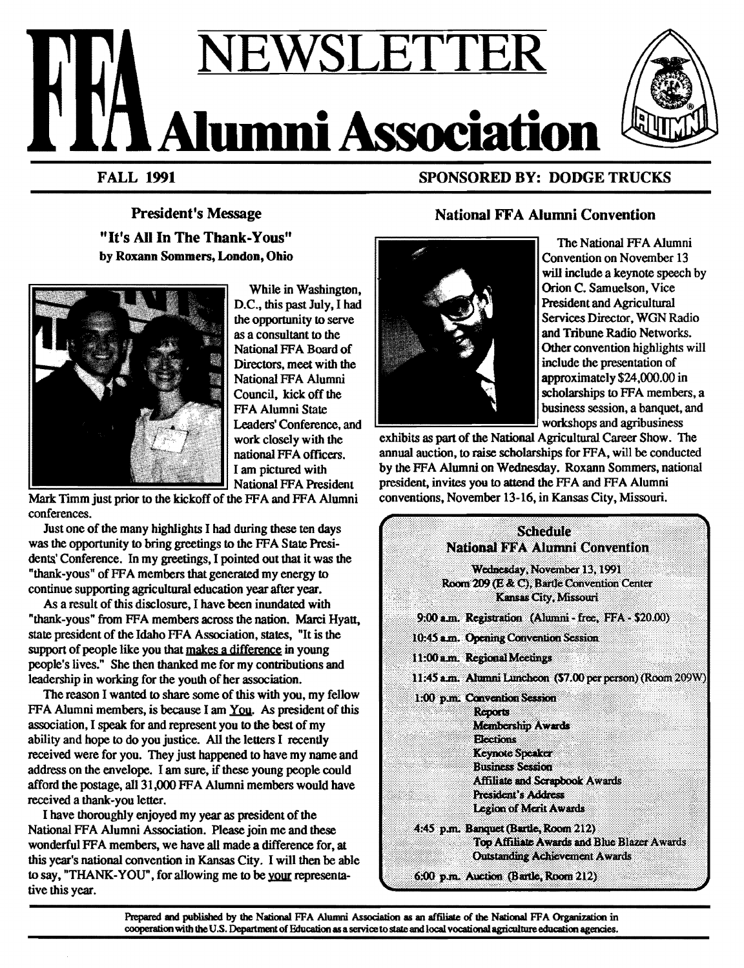# EWSLETT **Alumni Associat**

FALL 1991

SPONSORED BY: DODGE TRUCKS

President's Message "It's All In The Thank-Yous" by Roxann Sommers, London, Ohio



While in Washington, D.C., this past July, I had the opportunity to serve as a consultant to the National FF A Board of Directors, meet with the National FFA Alumni Council, kick off the FFA Alumni State Leaders' Conference, and work: closely with the national FF A officers. I am pictured with National FFA President

Mark Timm just prior to the kickoff of the FFA and FFA Alumni conferences.

Just one of the many highlights I had during these ten days was the opportunity to bring greetings to the FFA State Presidents' Conference. In my greetings, I pointed out that it was the "thank-yous" of FFA members that generated my energy to continue supporting agricultural education year after year.

As a result of this disclosure, I have been inundated with "thank-yous" from FFA members across the nation. Marci Hyatt, state president of the Idaho FF A Association, states, "It is the support of people like you that makes a difference in young people's lives." She then thanked me for my contributions and leadership in working for the youlh of her association.

The reason I wanted to share some of this with you, my fellow FFA Alumni members, is because I am You. As president of this association, I speak for and represent you to the best of my ability and hope to do you justice. All the letters I recently received were for you. They just happened to have my name and address on the envelope. I am sure, if these young people could afford the postage, all 31,000 FF A Alumni members would have received a thank-you letter.

I have thoroughly enjoyed my year as president of the National FFA Alumni Association. Please join me and these wonderful FFA members, we have all made a difference for, at this year's national convention in Kansas City. I will then be able to say, "THANK-YOU", for allowing me to be your representative this year.

# National FF A Alumni Convention



The National FFA Alumni Convention on November 13 will include a keynote speech by Orion C. Samuelson, Vice President and Agricultural Services Director, WGN Radio and Tribune Radio Networks. Other convention highlights will include the presentation of approximately \$24,000.00 in scholarships to FFA members, a business session, a banquet, and workshops and agribusiness

exhibits as part of the National Agricultural Career Show. The annual auction, to raise scholarships for FFA, will be conducted by the FFA Alumni on Wednesday. Roxann Sommers, national president, invites you to attend the FFA and FFA Alumni conventions, November 13-16, in Kansas City, Missouri.

| Scheamle<br><b>National FFA Alumni Convention</b>                                                                                                                                                                                                    |
|------------------------------------------------------------------------------------------------------------------------------------------------------------------------------------------------------------------------------------------------------|
| Wednesday, November 13, 1991<br>Room 209 (E & C), Bartle Convention Center<br><b>Kansas City, Missouri</b>                                                                                                                                           |
| 9:00 a.m. Registration (Alumni - free, FFA - \$20.00)                                                                                                                                                                                                |
| 10:45 a.m. Opening Convention Session                                                                                                                                                                                                                |
| 11:00 a.m. Regional Meetings                                                                                                                                                                                                                         |
| 11:45 a.m. Alumni Luncheon (\$7.00 per person) (Room 209W)                                                                                                                                                                                           |
| 1:00 p.m. Convention Session<br><b>Reports</b><br><b>Membership Awards</b><br><b>Elections</b><br><b>Keynote Speaker</b><br><b>Business Session</b><br><b>Affiliate and Scrapbook Awards</b><br><b>President's Address</b><br>Legion of Merit Awards |
| 4:45 p.m. Banquet (Bartle, Room 212)<br>Top Affiliate Awards and Blue Blazer Awards                                                                                                                                                                  |
| <b>Outstanding Achievement Awards</b>                                                                                                                                                                                                                |
| 6:00 p.m. Auction (Bartle, Room 212)                                                                                                                                                                                                                 |

Prepared and published by the National FFA Alumni Association as an affiliate of the National FFA Organization in cooperation with the U.S. Department of Education as a service to state and local vocational agriculture education agencies.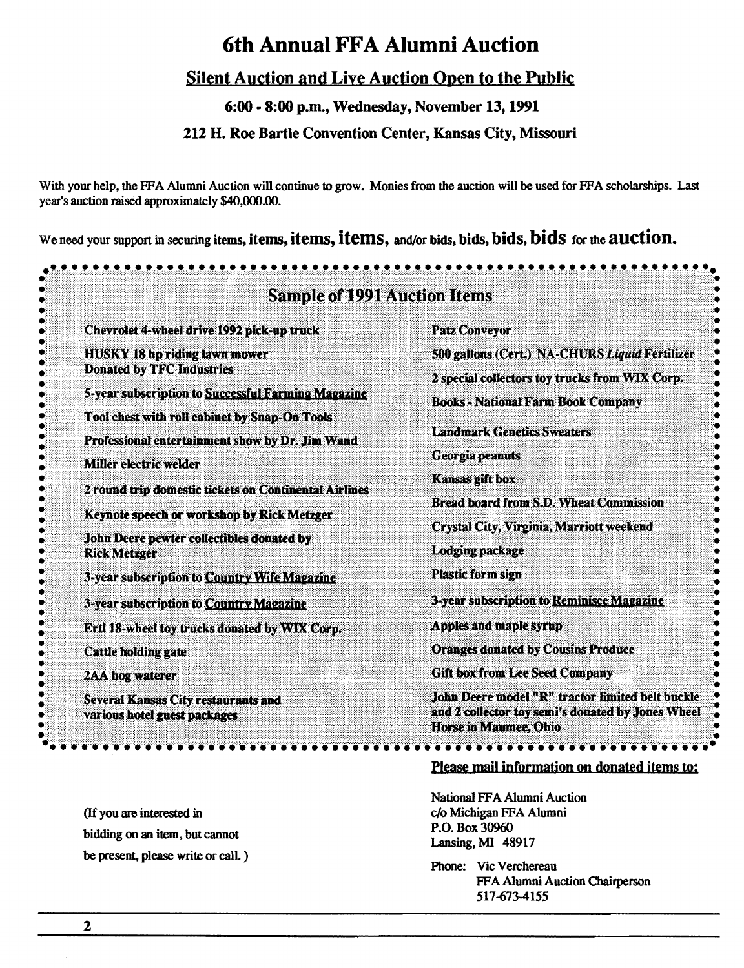# 6th Annual FFA Alumni Auction

# Silent Auction and Live Auction Open to the Public

6:00-8:00 p.m., Wednesday, November 13, 1991

# 212 H. Roe Bartle Convention Center, Kansas City, Missouri

With your help, the FFA Alumni Auction will continue to grow. Monies from the auction will be used for FFA scholarships. Last year's auction raised approximately \$40,000.00.

We need your support in securing items, items, items, items, and/or bids, bids, bids, bids for the auction.

| <b>Sample of 1991 Auction Items</b>                                                                 |                                                                                                                                |  |  |  |  |
|-----------------------------------------------------------------------------------------------------|--------------------------------------------------------------------------------------------------------------------------------|--|--|--|--|
| Chevrolet 4-wheel drive 1992 pick-up truck                                                          | <b>Patz Conveyor</b>                                                                                                           |  |  |  |  |
| <b>HUSKY 18 hp riding lawn mower</b>                                                                | 500 gallons (Cert.) NA-CHURS Liquid Fertilizer                                                                                 |  |  |  |  |
| <b>Donated by TFC Industries</b>                                                                    | 2 special collectors toy trucks from WIX Corp.                                                                                 |  |  |  |  |
| 5-year subscription to Successful Farming Magazine<br>Tool chest with roll cabinet by Snap-On Tools | <b>Books - National Farm Book Company</b>                                                                                      |  |  |  |  |
| Professional entertainment show by Dr. Jim Wand                                                     | <b>Landmark Genetics Sweaters</b>                                                                                              |  |  |  |  |
| <b>Miller electric welder</b>                                                                       | Georgia peanuts                                                                                                                |  |  |  |  |
| 2 round trip domestic tickets on Continental Airlines                                               | <b>Kansas gift box</b><br><b>Bread board from S.D. Wheat Commission</b>                                                        |  |  |  |  |
| Keynote speech or workshop by Rick Metzger                                                          |                                                                                                                                |  |  |  |  |
| John Deere pewter collectibles donated by                                                           | <b>Crystal City, Virginia, Marriott weekend</b>                                                                                |  |  |  |  |
| <b>Rick Metzger</b>                                                                                 | <b>Lodging package</b>                                                                                                         |  |  |  |  |
| 3-year subscription to Country Wife Magazine                                                        | <b>Plastic form sign</b>                                                                                                       |  |  |  |  |
| 3-year subscription to Country Magazine                                                             | 3-year subscription to Reminisce Magazine                                                                                      |  |  |  |  |
| Ertl 18-wheel toy trucks donated by WIX Corp.                                                       | <b>Apples and maple syrup</b>                                                                                                  |  |  |  |  |
| <b>Cattle holding gate</b>                                                                          | <b>Oranges donated by Cousins Produce</b>                                                                                      |  |  |  |  |
| <b>2AA hog waterer</b>                                                                              | <b>Gift box from Lee Seed Company</b>                                                                                          |  |  |  |  |
| Several Kansas City restaurants and<br>various hotel guest packages                                 | John Deere model "R" tractor limited belt buckle<br>and 2 collector toy semi's donated by Jones Wheel<br>Horse in Maumee, Ohio |  |  |  |  |

(If you are interested in bidding on an item, but cannot be present, please write or call. )

# Please mail information on donated items to:

National FF A Alumni Auction c/o Michigan FFA Alumni P.O. Box 30960 Lansing, MI 48917

Phone: Vic Verchereau FFA Alumni Auction Chairperson 517-6734155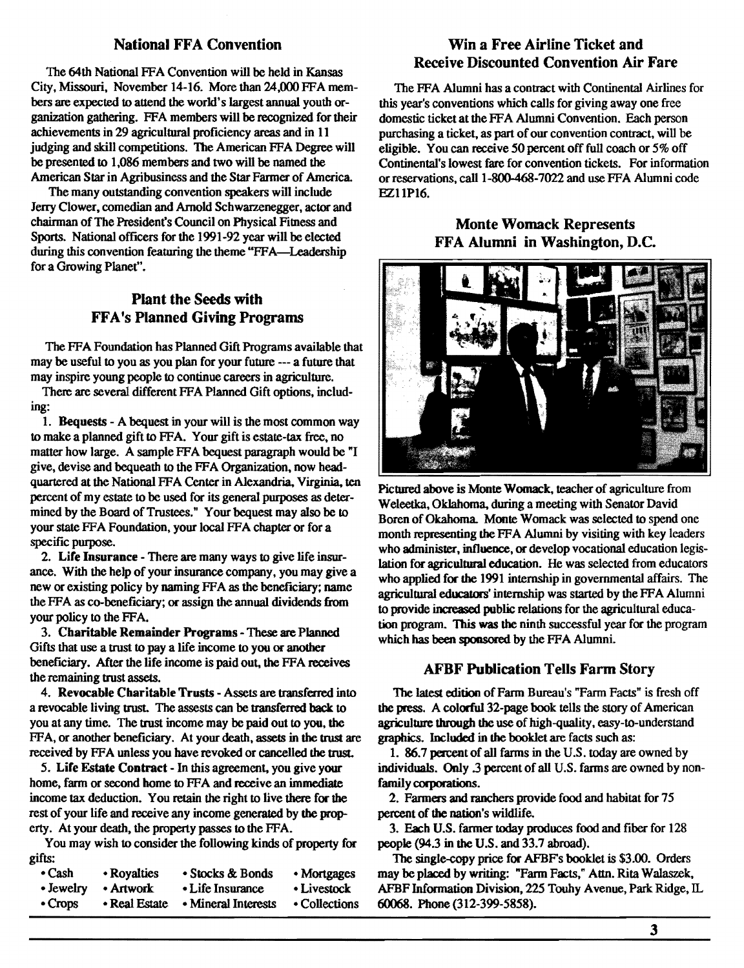# **National FFA Convention**

The 64th National FFA Convention will be held in Kansas City, Missouri, November 14-16. More than 24,000 FFA members are expected to attend the world's largest annual youth organization gathering. FFA members will be recognized for their achievements in 29 agricultural proficiency areas and in 11 judging and skill competitions. The American FFA Degree will be presented to 1,086 members and two will be named the American Star in Agribusiness and the Star Farmer of America.

The many outstanding convention speakers will include Jerry Clower, comedian and Arnold Schwarzenegger, actor and chairman of The President's Council on Physical Fitness and Sports. National officers for the 1991-92 year will be elected during this convention featuring the theme "FFA—Leadership" for a Growing Planet".

# Plant the Seeds with FFA's Planned Giving Programs

The FFA Foundation has Planned Gift Programs available that may be useful to you as you plan for your future --- a future that may inspire young people to continue careers in agriculture.

There are several different FFA Planned Gift options, including:

1. Bequests - A bequest in your will is the most common way to make a planned gift to FFA. Your gift is estate-tax free, no matter how large. A sample FFA bequest paragraph would be "I give, devise and bequeath to the FFA Organization, now headquartered at the National FF A Center in Alexandria. Virginia. ten percent of my estate to be used for its general purposes as determined by the Board of Trustees." Your bequest may also be to your state FFA Foundation, your local FFA chapter or for a specific purpose.

2. Life Insurance - There are many ways to give life insurance. With the help of your insurance company, you may give a new or existing policy by naming FF A as the beneficiary; name the FFA as co-beneficiary; or assign the annual dividends from your policy to the FFA.

3. Charitable Remainder Programs - These are Planned Gifts that use a trust to pay a life income to you or another beneficiary. After the life income is paid out, the FFA receives the remaining trust assets.

4. Revocable Charitable Trusts - Assets are transferred into a revocable living trust. The assests can be transferred back to you at any time. The trust income may be paid out to you, the FFA, or another beneficiary. At your death, assets in the trust are received by FFA unless you have revoked or cancelled the trust.

5. Life Estate Contract - In this agreement, you give your home, farm or second home to FFA and receive an immediate income tax deduction. You retain the right to live there for the rest of your life and receive any income generated by the property. At your death, the property passes to the FFA.

You may wish to consider the following kinds of property for gifts:

| • Cash        | • Royalties   | • Stocks & Bonds    | • Mortgages   |
|---------------|---------------|---------------------|---------------|
| • Jewelry     | • Artwork     | • Life Insurance    | • Livestock   |
| $\cdot$ Crops | • Real Estate | • Mineral Interests | • Collections |

Win a Free Airline Ticket and Receive Discounted Convention Air Fare

The FFA Alumni has a contract with Continental Airlines for this year's conventions which calls for giving away one free domestic ticket at the FFA Alumni Convention. Each person purchasing a ticket, as part of our convention contract, will be eligible. You can receive 50 percent off full coach or *5%* off Continental's lowest fare for convention tickets. For information or reservations, call 1-800-468-7022 and use FFA Alumni code EZ11P16.

# Monte Womack Represents FFA Alumni in Washington, D.C.



Pictured above is Monte Womack. teacher of agriculture from Weleetka, Oklahoma, during a meeting with Senator David Boren of Okahoma. Monte Womack was selected to spend one month representing the FFA Alumni by visiting with key leaders who administer, influence, or develop vocational education legislation for agricultural education. He was selected from educators who applied for the 1991 internship in governmental affairs. The agricultural educators' internship was started by the FFA Alumni to provide increased public relations for the agricultural education program. This was the ninth successful year for the program which has been sponsored by the FFA Alumni.

# **AFBF Publication Tells Farm Story**

The latest edition of Farm Bureau's "Fann Facts" is fresh off the press. A colorful 32-page book tells the story of American agriculture through the use of high-quality, easy-to-understand graphics. Included in the booklet are facts such as:

1. 86.7 percent of all farms in the U.S. today are owned by individua1s. Only .3 percent of all U.S. farms are owned by nonfamily corporations.

2. Farmers and ranchers provide food and habitat for 75 percent of the nation's wildlife.

3. Each U.S. farmer today produces food and fiber for 128 people (94.3 in the U.S. and 33.7 abroad).

The single-copy price for AFBFs booklet is \$3.00. Orders may be placed by writing: "Farm Facts," Attn. Rita Walasrek, AFBF Information Division, 225 Touhy Avenue, Park Ridge, IL 60068. Phone (312-399-5858).

3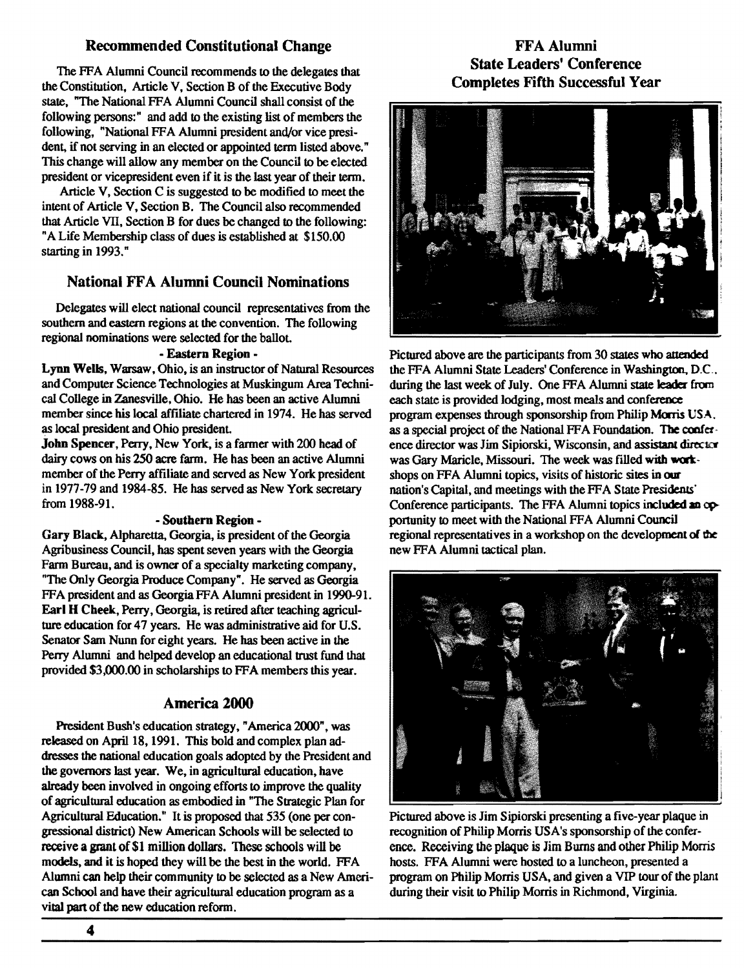# Recommended Constitutional Change

The FFA Alumni Council recommends to the delegates that the Constitution, Article V, Section B of the Executive Body state, "The National FFA Alumni Council shall consist of the following persons:" and add to the existing list of members the following, "National FFA Alumni president and/or vice president, if not serving in an elected or appointed term listed above." This change will allow any member on the Council to be elected president or vicepresident even if it is the last year of their term.

Article V, Section C is suggested to be modified to meet the intent of Article V, Section B. The Council also recommended that Article VII, Section B for dues be changed to the following: "A Life Membership class of dues is established at \$150.00 starting in 1993."

# National FF A Alumni Council Nominations

Delegates will elect national council representatives from the southern and eastern regions at the convention. The following regional nominations were selected for the ballot.

### - Eastern Region -

Lynn Wells, Warsaw, Ohio, is an instructor of Natural Resources and Computer Science Technologies at Muskingum Area Technical College in Zanesville, Ohio. He has been an active Alumni member since his local affiliate chartered in 1974. He has served as local president and Ohio presidenL

John Spencer, Perry, New York, is a farmer with 200 head of dairy cows on his 250 acre farm. He has been an active Alumni member of the Perry affiliate and served as New York president in 1977-79 and 1984-85. He has served as New York secretary from 1988-91.

### - Southern Region -

Gary Black, Alpharetta, Georgia, is president of the Georgia Agribusiness Council, has spent seven years with the Georgia Farm Bureau, and is owner of a specialty marketing company, "The Only Georgia Produce Company". He served as Georgia FFA president and as Georgia FFA Alumni president in 1990-91. Earl H Cheek, Perry, Georgia, is retired after teaching agriculture education for 47 years. He was administrative aid for U.S. Senator Sam Nunn for eight years. He has been active in the Perry Alumni and helped develop an educational trust fund that provided \$3,000.00 in scholarships to FFA members this year.

# America 2000

President Bush's education strategy," America 2000", was released on April 18, 1991. This bold and complex plan addresses the national education goals adopted by the President and the governors last year. We, in agricultural education, have already been involved in ongoing efforts to improve the quality of agricultural education as embodied in "The Strategic Plan for Agricultural Education." It is proposed that 535 (one per congressional district) New American Schools will be selected to receive a grant of \$1 million dollars. These schools will be models, and it is hoped they will be the best in the world. FFA Alumni can help their community to be selected as a New American School and have their agricultural education program as a vital part of the new education reform.

# FFA Alumni State Leaders' Conference Completes Fifth Successful Year



Pictured above are the participants from 30 states who attended the FFA Alumni State Leaders' Conference in Washington, D.C., during the last week of July. One FFA Alumni state leader from each state is provided lodging, most meals and conference program expenses through sponsorship from Philip Morris USA. as a special project of the National FFA Foundation. The confer· ence director was Jim Sipiorski, Wisconsin, and assistant director was Gary Maricle, Missouri. The week was filled with workshops on FFA Alumni topics, visits of historic sites in our nation's Capital, and meetings with the FF A State Presiderus' Conference participants. The FFA Alumni topics included an opportunity to meet with the National FFA Alumni Council regional representatives in a workshop on the development of the new FFA Alumni tactical plan.



Pictured above is Jim Sipiorski presenting a five-year plaque in recognition of Philip Morris USA's sponsorship of the conference. Receiving the plaque is Jim Burns and other Philip Morris hosts. FFA Alumni were hosted to a luncheon, presented a program on Philip Morris USA, and given a VIP tour of the plant during their visit to Philip Morris in Richmond, Virginia.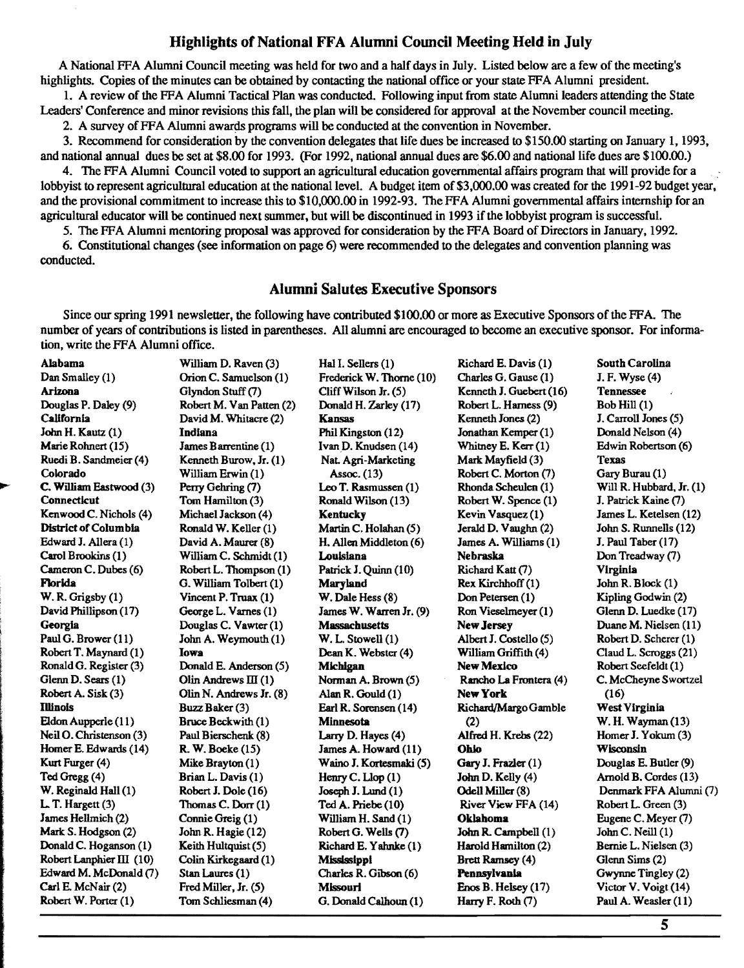# Highlights of National FFA Alumni Council Meeting Held in July

A National FFA Alumni Council meeting was held for two and a half days in July. Listed below are a few of the meeting's highlights. Copies of the minutes can be obtained by contacting the national office or your state FFA Alumni president.

1. A review of the FFA Alumni Tactical Plan was conducted. Following input from state Alumni leaders attending the State Leaders' Conference and minor revisions this fall, the plan will be considered for approval at the November council meeting.

2. A survey of FFA Alumni awards programs will be conducted at the convention in November.

3. Recommend for consideration by the convention delegates that life dues be increased to \$150.00 starting on January 1, 1993, and national annual dues be set at \$8.00 for 1993. (For 1992, national annual dues are \$6.00 and national life dues are \$100.00.)

4. The FF A Alumni Council voted to support an agricultural education governmental affairs program that will provide for a lobbyist to represent agricultural education at the national level. A budget item of \$3 ,000.00 was created for the 1991-92 budget year, and the provisional commitment to increase this to \$10,000.00 in 1992-93. The FFA Alumni governmental affairs internship for an agricultural educator will be continued next summer, but will be discontinued in 1993 ifthe lobbyist program is successful.

5. The FFA Alumni mentoring proposal was approved for consideration by the FFA Board of Directors in January, 1992.

6. Constitutional changes (see information on page 6) were recommended to the delegates and convention planning was conducted.

# Alumni Salutes Executive Sponsors

Since our spring 1991 newsletter, the following have contributed \$100.00 or more as Executive Sponsors of the FFA. The number of years of contributions is listed in parentheses. All alumni are encouraged to become an executive sponsor. For infonnation, write the FFA Alumni office.

| <b>Alabama</b>           | William D. Raven (3)     | Hal I. Sellers (1)       | Richard E. Davis (1)    | <b>South Carolina</b>    |
|--------------------------|--------------------------|--------------------------|-------------------------|--------------------------|
| Dan Smalley (1)          | Orion C. Samuelson (1)   | Frederick W. Thorne (10) | Charles G. Gause (1)    | J. F. Wyse (4)           |
| Arizona                  | Glyndon Stuff (7)        | Cliff Wilson Jr. (5)     | Kenneth J. Guebert (16) | <b>Tennessee</b><br>J    |
| Douglas P. Daley (9)     | Robert M. Van Patten (2) | Donald H. Zarley (17)    | Robert L. Harness (9)   | Bob $Hill(1)$            |
| California               | David M. Whitacre (2)    | <b>Kansas</b>            | Kenneth Jones (2)       | J. Carroll Jones (5)     |
| John H. Kautz (1)        | Indiana                  | Phil Kingston (12)       | Jonathan Kemper (1)     | Donald Nelson (4)        |
| Marie Rohnert (15)       | James Barrentine (1)     | Ivan D. Knudsen (14)     | Whitney E. Kerr (1)     | Edwin Robertson (6)      |
| Ruedi B. Sandmeier (4)   | Kenneth Burow, Jr. (1)   | Nat. Agri-Marketing      | Mark Mayfield (3)       | <b>Texas</b>             |
| Colorado                 | William Erwin (1)        | Assoc. (13)              | Robert C. Morton (7)    | Gary Burau (1)           |
| C. William Eastwood (3)  | Perry Gehring (7)        | Leo T. Rasmussen (1)     | Rhonda Scheulen (1)     | Will R. Hubbard, Jr. (1) |
| Connecticut              | Tom Hamilton (3)         | Ronald Wilson (13)       | Robert W. Spence (1)    | J. Patrick Kaine (7)     |
| Kenwood C. Nichols (4)   | Michael Jackson (4)      | Kentucky                 | Kevin Vasquez (1)       | James L. Ketelsen (12)   |
| District of Columbia     | Ronald W. Keller (1)     | Martin C. Holahan (5)    | Jerald D. Vaughn (2)    | John S. Runnells (12)    |
| Edward J. Allera (1)     | David A. Maurer (8)      | H. Allen Middleton (6)   | James A. Williams (1)   | J. Paul Taber (17)       |
| Carol Brookins (1)       | William C. Schmidt (1)   | Louisiana                | Nebraska                | Don Treadway (7)         |
| Cameron C. Dubes (6)     | Robert L. Thompson (1)   | Patrick J. Quinn (10)    | Richard Katt (7)        | <b>Virginia</b>          |
| Florida                  | G. William Tolbert (1)   | <b>Maryland</b>          | Rex Kirchhoff (1)       | John R. Block $(1)$      |
| W. R. Grigsby (1)        | Vincent P. Truax (1)     | W. Dale Hess (8)         | Don Petersen (1)        | Kipling Godwin (2)       |
| David Phillipson (17)    | George L. Varnes (1)     | James W. Warren Jr. (9)  | Ron Vieselmeyer (1)     | Glenn D. Luedke (17)     |
| Georgia                  | Douglas C. Vawter (1)    | <b>Massachusetts</b>     | New Jersey              | Duane M. Nielsen (11)    |
| Paul G. Brower (11)      | John A. Weymouth (1)     | $W. L.$ Stowell $(1)$    | Albert J. Costello (5)  | Robert D. Scherer (1)    |
| Robert T. Maynard (1)    | Iowa                     | Dean K. Webster (4)      | William Griffith (4)    | Claud L. Scroggs (21)    |
| Ronald G. Register (3)   | Donald E. Anderson (5)   | Michigan                 | <b>New Mexico</b>       | Robert Seefeldt (1)      |
| Glenn D. Sears (1)       | Olin Andrews $III(1)$    | Norman A. Brown (5)      | Rancho La Frontera (4)  | C. McCheyne Swortzel     |
| Robert A. Sisk (3)       | Olin N. Andrews Jr. (8)  | Alan R. Gould (1)        | New York                | (16)                     |
| <b>Illinois</b>          | Buzz Baker (3)           | Earl R. Sorensen (14)    | Richard/Margo Gamble    | <b>West Virginia</b>     |
| Eldon Aupperle (11)      | Bruce Beckwith (1)       | <b>Minnesota</b>         | (2)                     | W. H. Wayman (13)        |
| Neil O. Christenson (3)  | Paul Bierschenk (8)      | Larry D. Hayes (4)       | Alfred H. Krebs (22)    | Homer J. Yokum (3)       |
| Homer E. Edwards (14)    | R. W. Boeke (15)         | James A. Howard (11)     | Ohio                    | Wisconsin                |
| Kurt Furger (4)          | Mike Brayton (1)         | Waino J. Kortesmaki (5)  | Gary J. Frazler (1)     | Douglas E. Butler (9)    |
| Ted Gregg (4)            | Brian L. Davis (1)       | Henry C. Llop $(1)$      | John D. Kelly (4)       | Arnold B. Cordes (13)    |
| W. Reginald Hall (1)     | Robert J. Dole (16)      | Joseph J. Lund (1)       | Odell Miller (8)        | Denmark FFA Alumni (7)   |
| L. T. Hargett (3)        | Thomas C. Dorr (1)       | Ted A. Priebe (10)       | River View FFA (14)     | Robert L. Green (3)      |
| James Hellmich (2)       | Connie Greig (1)         | William H. Sand (1)      | <b>Oklahoma</b>         | Eugene C. Meyer (7)      |
| Mark S. Hodgson (2)      | John R. Hagie $(12)$     | Robert G. Wells (7)      | John R. Campbell (1)    | John C. Neill (1)        |
| Donald C. Hoganson (1)   | Keith Hultquist (5)      | Richard E. Yahnke (1)    | Harold Hamilton (2)     | Bernie L. Nielsen (3)    |
| Robert Lanphier III (10) | Colin Kirkegaard (1)     | Mississippi              | <b>Brett Ramsey</b> (4) | Glenn Sims (2)           |
| Edward M. McDonald (7)   | Stan Laures (1)          | Charles R. Gibson (6)    | Pennsylvania            | Gwynne Tingley (2)       |
| Carl E. McNair (2)       | Fred Miller, Jr. (5)     | Missouri                 | Enos B. Helsey $(17)$   | Victor V. Voigt (14)     |
| Robert W. Porter (1)     | Tom Schliesman (4)       | G. Donald Calhoun (1)    | Harry F. Roth (7)       | Paul A. Weasler (11)     |
|                          |                          |                          |                         |                          |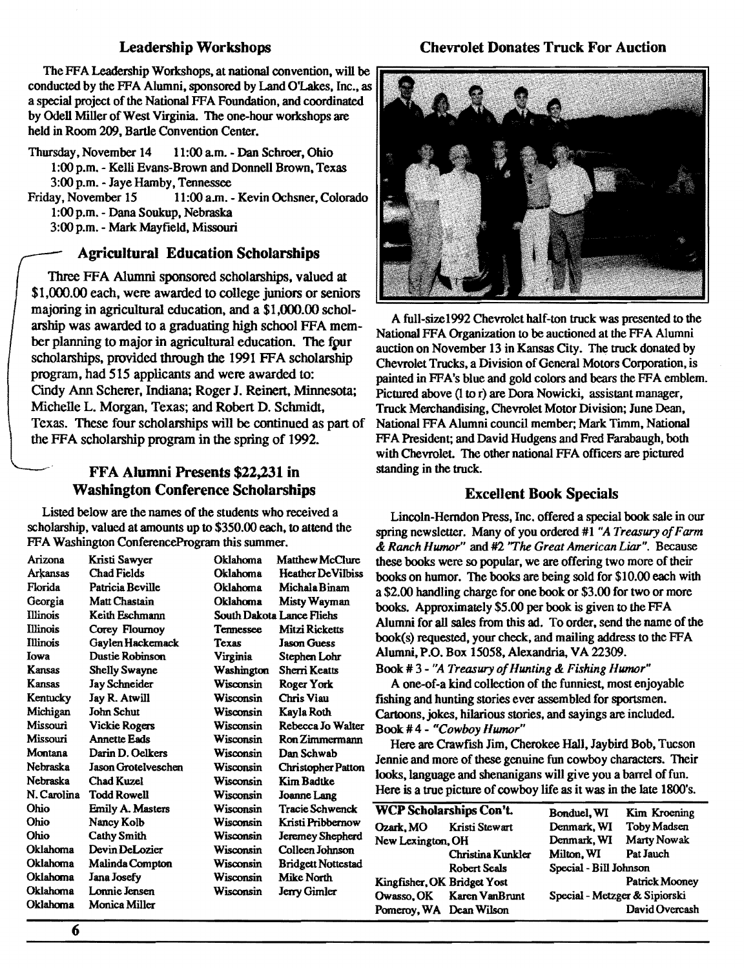### Leadership Workshops

The FFA Leadership Workshops, at national convention, will be conducted by the FFA Alumni, sponsored by Land O'Lakes, Inc., as a special project of the National FFA Foundation, and coordinated by Odell Miller of West Virginia. The one-hour workshops are held in Room 209, Bartle Convention Center.

Thursday, November 14 11:00 a.m. - Dan Schroer, Ohio 1:00 p.m. - Kelli Evans-Brown and Donnell Brown, Texas 3:00 p.m. - Jaye Hamby, Tennessee<br>Friday, November 15 11:00 a.m.

11:00 a.m. - Kevin Ochsner, Colorado l:OOp.m. - Dana Soukup, Nebraska

3:00 p.m. - Mark Mayfield, Missouri

# Agricultural Education Scholarships

Three FFA Alumni sponsored scholarships, valued at \$1,000.00 each, were awarded to college juniors or seniors majoring in agricultural education, and a \$1,000.00 scholarship was awarded to a graduating high school FFA member planning to major in agricultural education. The four scholarships, provided through the 1991 FFA scholarship program, had 515 applicants and were awarded to: Cindy Ann Scherer, Indiana; Roger J. Reinert. Minnesota; Michelle L. Morgan, Texas; and Rohen D. Schmidt, Texas. These four scholarships will be continued as pan of the FFA scholarship program in the spring of 1992.

# FFA Alumni Presents \$22,231 in Washington Conference Scholarships

Listed below are the names of the students who received a scholarship, valued at amounts up to \$350.00 each, to attend the FFA Washington ConferenceProgram this summer.

| Arizona         | Kristi Sawyer              | Oklahoma   | Matthew McClure           |
|-----------------|----------------------------|------------|---------------------------|
| Arkansas        | Chad Fields                | Oklahoma   | <b>Heather DeVilbiss</b>  |
| Florida         | Patricia Beville           | Oklahoma   | Michala Binam             |
| Georgia         | Matt Chastain              | Oklahoma   | Misty Wayman              |
| <b>Illinois</b> | Keith Eschmann             |            | South Dakota Lance Fliehs |
| <b>Illinois</b> | Corey Floumoy              | Tennessee  | <b>Mitzi Ricketts</b>     |
| Illinois        | Gaylen Hackemack           | Texas      | <b>Jason Guess</b>        |
| Iowa            | Dustie Robinson            | Virginia   | Stephen Lohr              |
| Kansas          | <b>Shelly Swayne</b>       | Washington | Sherri Keatts             |
| Kansas          | Jay Schneider              | Wisconsin  | Roger York                |
| Kentucky        | Jay R. Atwill              | Wisconsin  | Chris Viau                |
| Michigan        | John Schut                 | Wisconsin  | Kayla Roth                |
| Missouri        | Vickie Rogers              | Wisconsin  | Rebecca Jo Walter         |
| Missouri        | <b>Annette Eads</b>        | Wisconsin  | Ron Zimmermann            |
| Montana         | Darin D. Oelkers           | Wisconsin  | Dan Schwab                |
| Nebraska        | <b>Jason Grotelveschen</b> | Wisconsin  | <b>Christopher Patton</b> |
| Nebraska        | Chad Kuzel                 | Wisconsin  | <b>Kim Badtke</b>         |
| N. Carolina     | Todd Rowell                | Wisconsin  | Joanne Lang               |
| Ohio            | Emily A. Masters           | Wisconsin  | Tracie Schwenck           |
| Ohio            | Nancy Kolb                 | Wisconsin  | Kristi Pribbernow         |
| Ohio            | <b>Cathy Smith</b>         | Wisconsin  | Jeremey Shepherd          |
| Oklahoma        | Devin DeLozier             | Wisconsin  | Colleen Johnson           |
| Oklahoma        | Malinda Compton            | Wisconsin  | Bridgett Nottestad        |
| Oklahoma        | Jana Josefy                | Wisconsin  | Mike North                |
| Oklahoma        | Lonnie Jensen              | Wisconsin  | Jerry Gimler              |
| Oklahoma        | Monica Miller              |            |                           |



A full-size1992 Chevrolet half-ton truck was presented to the National FFA Organization to be auctioned at the FFA Alumni auction on November 13 in Kansas City. The truck donated by Chevrolet Trucks, a Division of General Motors Corporation, is painted in FFA's blue and gold colors and bears the FFA emblem. Pictured above (I tor) are Dora Nowicki, assistant manager, Truck Merchandising, Chevrolet Motor Division; June Dean, National FF A Alumni council member; Mark Timm, National FFA President; and David Hudgens and Fred Farabaugh, both with Chevrolet. The other national FFA officers are pictured standing in the truck.

# Excellent Book Specials

Lincoln-Herndon Press, Inc. offered a special book sale in our spring newsletter. Many of you ordered #1 *"A Treasury of Farm*  & *Ranch Humor"* and #2 *'The Great American Liar".* Because these books were so popular, we are offering two more of their books on humor. The books are being sold for \$10.00 each with a \$2.00 handling charge for one book or \$3.00 for two or more books. Approximately \$5.00 per book is given to the FFA Alumni for all sales from this ad. To order, send the name of the book(s) requested, your check, and mailing address to the FFA Alumni, P.O. Box 15058, Alexandria. VA 22309.

Book # 3 - "A Treasury of Hunting & Fishing Humor" A one-of-a kind collection of the funniest, most enjoyable fishing and hunting stories ever assembled for sportsmen. Cartoons, jokes, hilarious stories, and sayings are included. Book#4- *"CowboyHumor"* 

Here are Crawfish Jim, Cherokee Hall, Jaybird Bob, Tucson Jennie and more of these genuine fun cowboy characters. Their looks, language and shenanigans will give you a barrel of fun. Here is a true picture of cowboy life as it was in the late 1800's.

| <b>WCP Scholarships Con't.</b> |                           | Bonduel, WI                   | Kim Kroening   |
|--------------------------------|---------------------------|-------------------------------|----------------|
| Ozark, MO                      | Kristi Stewart            | Denmark, WI                   | Toby Madsen    |
| New Lexington, OH              |                           | Denmark, WI                   | Marty Nowak    |
|                                | Christina Kunkler         | Milton, WI                    | Pat Jauch      |
|                                | <b>Robert Seals</b>       | Special - Bill Johnson        |                |
| Kingfisher, OK Bridget Yost    |                           |                               | Patrick Mooney |
|                                | Owasso. OK Karen VanBrunt | Special - Metzger & Sipiorski |                |
| Pomeroy, WA Dean Wilson        |                           |                               | David Overcash |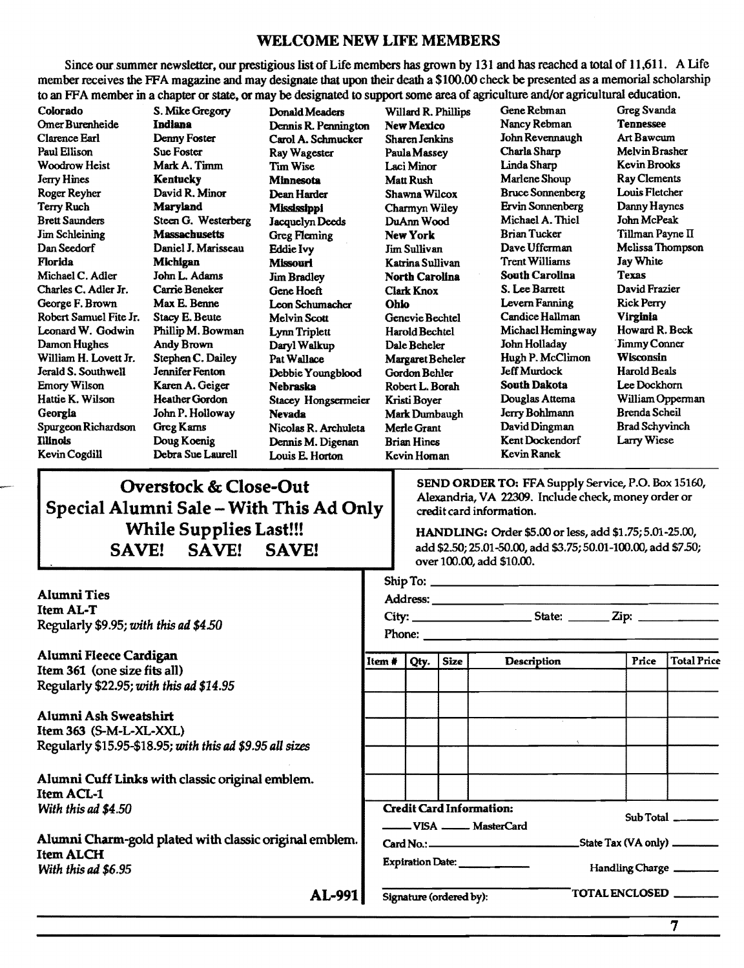# WELCOME NEW LIFE MEMBERS

Since our summer newsletter. our prestigious list of Life members has grown by 131 and has reached a total of 11,611. A Life member receives the FFA magazine and may designate that upon their death a \$100.00 check be presented as a memorial scholarship to an FF A member in a chapter or state. or may be designated to support some area of agriculture and/or agricultural education.

Omer Burenheide Indiana **Dennis R. Pennington New Mexico** Nancy Rebman Tennessee<br>Clarence Earl Denny Foster Carol A. Schmucker Sharen Jenkins John Revennaugh Art Bawcum Clarence Earl Denny Foster Carol A. Schmucker Sharen Jenkins Woodrow Heist Mark A. Timm Tim Wise Laci Minor Linda Sharp Kevin Brooks Jerry Hines Kentucky Minnesota Matt Rush Marlene Shoup Ray Clements Roger Reyher David R. Minor Dean Harder Shawna Wilcox Bruce Sonnenberg Louis Fletcher<br>Terry Ruch Maryland Mississippi Charmyn Wiley Ervin Sonnenberg Danny Haynes Terry Ruch Maryland Mississippi Charmyn Wiley Ervin Sonnenberg Danny Haynes<br>Brett Saunders Steen G. Westerberg Jacquelyn Deeds DuAnn Wood Michael A. Thiel John McPeak Jim Schleining Massachusetts Greg Fleming New York Brian Tucker Tillman Payne II Dan Seedorf Daniel I. Marisseau Eddie Ivy Jim Sullivan Dave Uffennan Melissa Thompson Michael C. Adler John L. Adams Jim Bradley North Carolina South Carolina Texas<br>Charles C. Adler Jr. Carrie Beneker Gene Hoeft Clark Knox S. Lee Barrett David Frazier Charles C. Adler Jr. Carrie Beneker Gene Hoeft Clark Knox S. Lee Barrett George F. Brown Max E. Benne Leon Schumacher Ohio Levern Fanning George F. Brown Max E. Benne Leon Schumacher Ohio Levern Fanning Rick Perry Robert Samuel Fite Jr. Stacy E. Beute Melvin Scott Genevie Bechtel Candice Hallman Virginia<br>Leonard W. Godwin Phillip M. Bowman I vnn Triplett Harold Bechtel Michael Hemingway Howard R. Beck Leonard W. Godwin Phillip M. Bowman Lynn Triplett Harold Bechtel Michael Hemingway Howard R. Bec<br>
Damon Hughes Andy Brown Daryl Walkup Dale Beheler John Holladay Jimmy Conner William H. Lovett Jr. Stephen C. Dailey Pat Wallace Margaret Beheler Hugh P. McClimon Wisconsin<br>Jerald S. Southwell Jennifer Fenton Debbie Youngblood Gordon Behler Jeff Murdock Harold Beals Jerald S. Southwell Jennifer Fenton Debbie Youngblood Gordon Behler Emory Wilson Karen A. Geiger Nebraska Robert L. Borah South Dakota Lee Dockhorn<br>Hattie K. Wilson Heather Gordon Stacev Hongsermeier Kristi Bover Douglas Attema William Opperman Georgia John P. Holloway Nevada Mark Dumbaugh Jerry Bohlmann Spurgeon Richardson Greg Karns Nicolas R. Archuleta Merle Grant David Dingman Brad Schyvinch<br>
Illinois Doug Noenig Dennis M. Dioenan Brian Hines Kent Dockendorf Larry Wiese

Special Alumni Sale - With This Ad Only

Paul Ellison Sue Foster Ray Wagester PaulaMassey Charla Sharp Melvin Brasher Steen G. Westerberg Jacquelyn Deeds DuAnn Wood Michael A. Thiel A. Thiel Iohnel Iohnel Iohnel Iohnel Iohnel Io<br>Massachusetts Greg Eleming New York Brian Tucker Florida Michigan Mhlourl KatrinaSullivan Trent Williams Jay White Daryl Walkup Dale Beheler John Holladay Jimmy Conner<br>Pat Wallace Margaret Beheler Hugh P. McClimon Wisconsin Stacey Hongsermeier Kristi Boyer Douglas Attema William Oppen<br>Nevada Mark Dumbaugh Jerry Bohlmann Brenda Scheil Illinois Doug Koenig Dennis M. Digenan Brian Hines Kent Dockendorf Larry Wiese Kevin Cogdill Debra Sue Laurell Louis E. Horton Kevin Homan

Colorado S. Mike Gregory Donald Meaders Willard R. Phillips Gene Rebman Greg Svanda

Overstock & Close-Out<br>
SEND ORDER TO: FFA Supply Service, P.O. Box 15160,<br>
Alexandria, VA 22309. Include check, money order or credit card information.

While Supplies Last!!! HANDLING: Order \$5.00 or less, add \$1.75; 5.01-25.00, SAVE! SAVE! SAVE! <sup>add \$2.50; 25.01-50.00, add \$3.75; 50.01-100.00, add \$7.50;</sup> over 100.00, add \$10.00.

| <b>Alumni</b> Ties<br><b>Item AL-T</b><br>Regularly \$9.95; with this ad \$4.50                              |                                                          |  |             |                    |  |       |                    |
|--------------------------------------------------------------------------------------------------------------|----------------------------------------------------------|--|-------------|--------------------|--|-------|--------------------|
| Alumni Fleece Cardigan                                                                                       | Item $\#$                                                |  | Qty.   Size | <b>Description</b> |  | Price | <b>Total Price</b> |
| Item 361 (one size fits all)<br>Regularly \$22.95; with this ad \$14.95                                      |                                                          |  |             |                    |  |       |                    |
| Alumni Ash Sweatshirt<br>Item 363 (S-M-L-XL-XXL)<br>Regularly \$15.95-\$18.95; with this ad \$9.95 all sizes |                                                          |  |             |                    |  |       |                    |
| Alumni Cuff Links with classic original emblem.<br><b>Item ACL-1</b><br>With this ad \$4.50                  |                                                          |  |             |                    |  |       |                    |
|                                                                                                              | <b>Credit Card Information:</b><br>VISA _____ MasterCard |  |             |                    |  |       | Sub Total          |
| Alumni Charm-gold plated with classic original emblem.<br><b>Item ALCH</b>                                   |                                                          |  |             |                    |  |       |                    |
| With this ad \$6.95                                                                                          | Expiration Date:<br>Handling Charge                      |  |             |                    |  |       |                    |
| <b>TOTAL ENCLOSED</b><br>AL-991<br>Signature (ordered by):                                                   |                                                          |  |             |                    |  |       |                    |